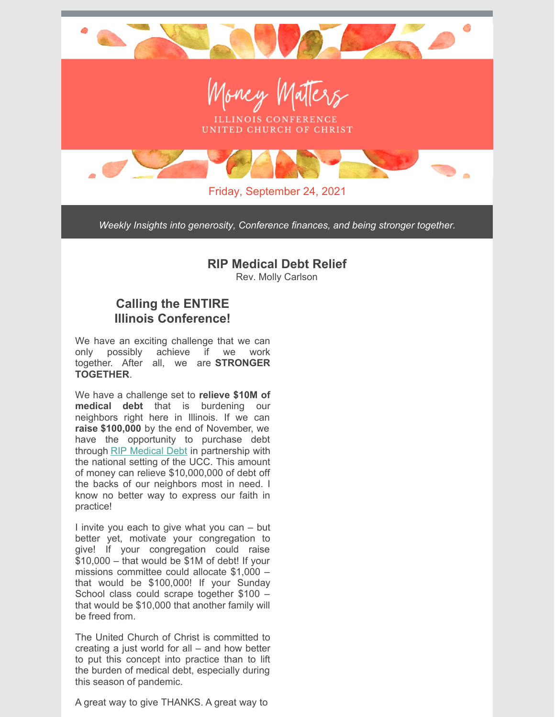

*Weekly Insights into generosity, Conference finances, and being stronger together.*

## **RIP Medical Debt Relief**

Rev. Molly Carlson

## **Calling the ENTIRE Illinois Conference!**

We have an exciting challenge that we can only possibly achieve if we work together. After all, we are **STRONGER TOGETHER**.

We have a challenge set to **relieve \$10M of medical debt** that is burdening our neighbors right here in Illinois. If we can **raise \$100,000** by the end of November, we have the opportunity to purchase debt through RIP [Medical](https://ripmedicaldebt.org/) Debt in partnership with the national setting of the UCC. This amount of money can relieve \$10,000,000 of debt off the backs of our neighbors most in need. I know no better way to express our faith in practice!

I invite you each to give what you can – but better yet, motivate your congregation to give! If your congregation could raise \$10,000 – that would be \$1M of debt! If your missions committee could allocate \$1,000 – that would be \$100,000! If your Sunday School class could scrape together \$100 – that would be \$10,000 that another family will be freed from.

The United Church of Christ is committed to creating a just world for all – and how better to put this concept into practice than to lift the burden of medical debt, especially during this season of pandemic.

A great way to give THANKS. A great way to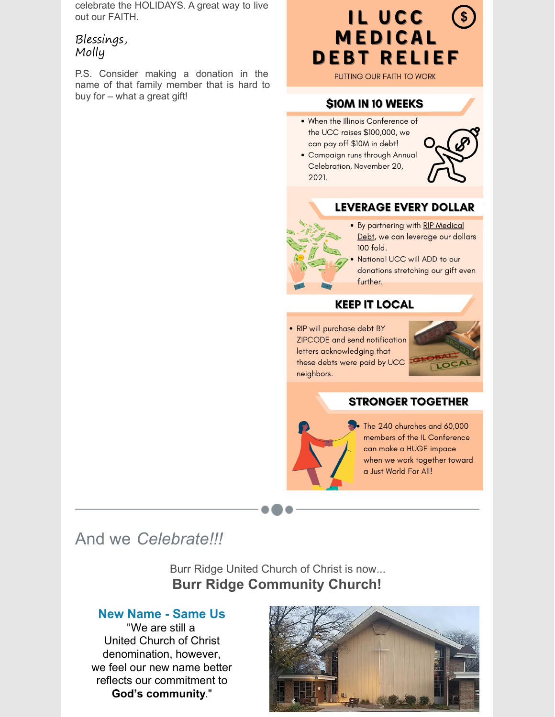celebrate the HOLIDAYS. A great way to live out our FAITH.

## Blessings, Molly

P.S. Consider making a donation in the name of that family member that is hard to buy for – what a great gift!

## IL UCC  $(s)$ MEDICAL **DEBT RELIEF**

PUTTING OUR FAITH TO WORK

#### **\$10M IN 10 WEEKS**

- . When the Illinois Conference of the UCC raises \$100,000, we can pay off \$10M in debt!
- Campaign runs through Annual Celebration, November 20, 2021.



#### **LEVERAGE EVERY DOLLAR**



. By partnering with RIP Medical Debt, we can leverage our dollars 100 fold.

National UCC will ADD to our donations stretching our gift even further.

#### **KEEP IT LOCAL**

· RIP will purchase debt BY ZIPCODE and send notification letters acknowledging that these debts were paid by UCC neighbors.



#### **STRONGER TOGETHER**



The 240 churches and 60,000 members of the IL Conference can make a HUGE impace when we work together toward a Just World For All!

# And we *Celebrate!!!*

Burr Ridge United Church of Christ is now... **Burr Ridge Community Church!**

#### **New Name - Same Us**

"We are still a United Church of Christ denomination, however, we feel our new name better reflects our commitment to **God's community**."